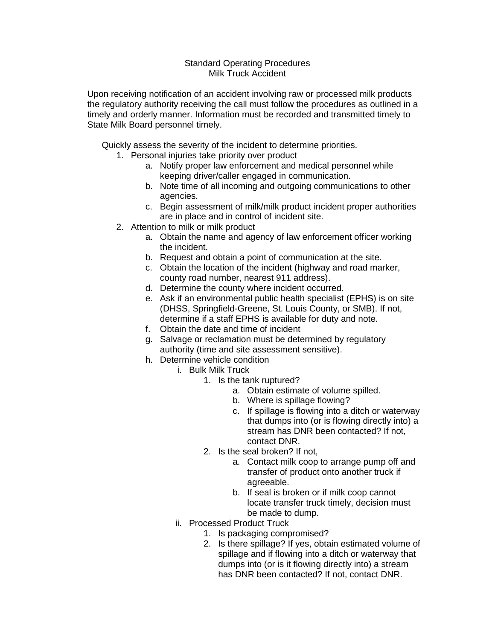## Standard Operating Procedures Milk Truck Accident

Upon receiving notification of an accident involving raw or processed milk products the regulatory authority receiving the call must follow the procedures as outlined in a timely and orderly manner. Information must be recorded and transmitted timely to State Milk Board personnel timely.

Quickly assess the severity of the incident to determine priorities.

- 1. Personal injuries take priority over product
	- a. Notify proper law enforcement and medical personnel while keeping driver/caller engaged in communication.
	- b. Note time of all incoming and outgoing communications to other agencies.
	- c. Begin assessment of milk/milk product incident proper authorities are in place and in control of incident site.
- 2. Attention to milk or milk product
	- a. Obtain the name and agency of law enforcement officer working the incident.
	- b. Request and obtain a point of communication at the site.
	- c. Obtain the location of the incident (highway and road marker, county road number, nearest 911 address).
	- d. Determine the county where incident occurred.
	- e. Ask if an environmental public health specialist (EPHS) is on site (DHSS, Springfield-Greene, St. Louis County, or SMB). If not, determine if a staff EPHS is available for duty and note.
	- f. Obtain the date and time of incident
	- g. Salvage or reclamation must be determined by regulatory authority (time and site assessment sensitive).
	- h. Determine vehicle condition
		- i. Bulk Milk Truck
			- 1. Is the tank ruptured?
				- a. Obtain estimate of volume spilled.
				- b. Where is spillage flowing?
				- c. If spillage is flowing into a ditch or waterway that dumps into (or is flowing directly into) a stream has DNR been contacted? If not, contact DNR.
			- 2. Is the seal broken? If not,
				- a. Contact milk coop to arrange pump off and transfer of product onto another truck if agreeable.
				- b. If seal is broken or if milk coop cannot locate transfer truck timely, decision must be made to dump.
			- ii. Processed Product Truck
				- 1. Is packaging compromised?
				- 2. Is there spillage? If yes, obtain estimated volume of spillage and if flowing into a ditch or waterway that dumps into (or is it flowing directly into) a stream has DNR been contacted? If not, contact DNR.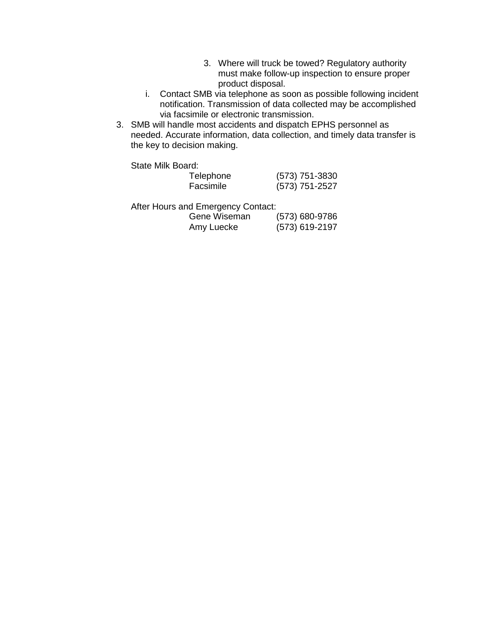- 3. Where will truck be towed? Regulatory authority must make follow-up inspection to ensure proper product disposal.
- i. Contact SMB via telephone as soon as possible following incident notification. Transmission of data collected may be accomplished via facsimile or electronic transmission.
- 3. SMB will handle most accidents and dispatch EPHS personnel as needed. Accurate information, data collection, and timely data transfer is the key to decision making.

State Milk Board:

| Telephone | (573) 751-3830 |
|-----------|----------------|
| Facsimile | (573) 751-2527 |

After Hours and Emergency Contact:

| Gene Wiseman | $(573) 680 - 9786$ |
|--------------|--------------------|
| Amy Luecke   | $(573)$ 619-2197   |